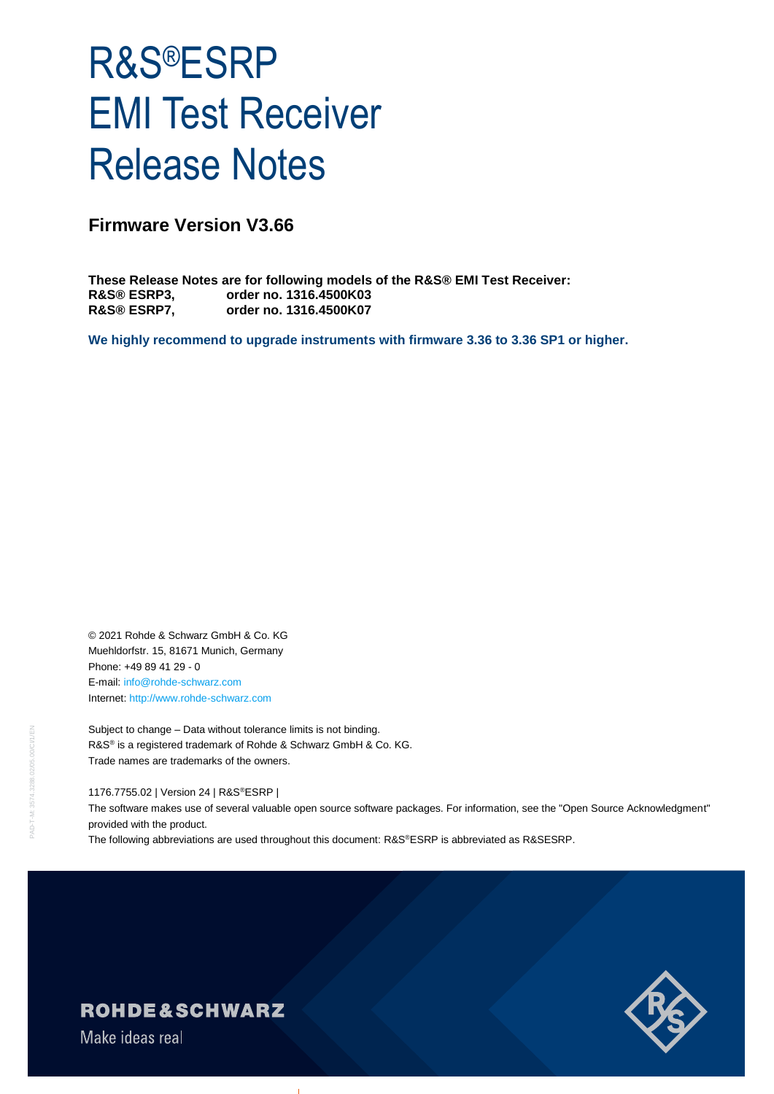# R&S®ESRP EMI Test Receiver Release Notes

## **Firmware Version V3.66**

**These Release Notes are for following models of the R&S® EMI Test Receiver: R&S® ESRP3, order no. 1316.4500K03 R&S® ESRP7, order no. 1316.4500K07**

**We highly recommend to upgrade instruments with firmware 3.36 to 3.36 SP1 or higher.**

© 2021 Rohde & Schwarz GmbH & Co. KG Muehldorfstr. 15, 81671 Munich, Germany Phone: +49 89 41 29 - 0 E-mail: [info@rohde-schwarz.com](mailto:info@rohde-schwarz.com) Internet[: http://www.rohde-schwarz.com](http://www.rohde-schwarz.com/)

Subject to change – Data without tolerance limits is not binding. R&S<sup>®</sup> is a registered trademark of Rohde & Schwarz GmbH & Co. KG. Trade names are trademarks of the owners.

1176.7755.02 | Version 24 | R&S®ESRP |

The software makes use of several valuable open source software packages. For information, see the "Open Source Acknowledgment" provided with the product.

The following abbreviations are used throughout this document: R&S®ESRP is abbreviated as R&SESRP.



## ROHDE&SCHWARZ

Make ideas real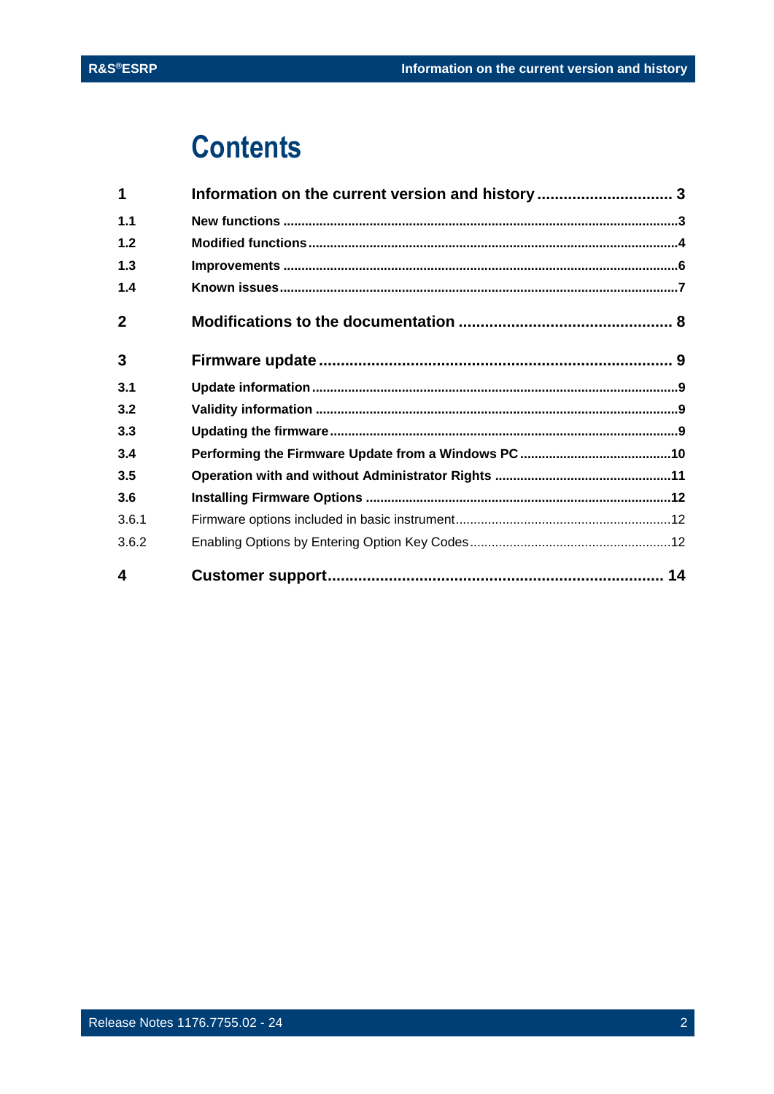## **Contents**

| 4              |                                                   |  |
|----------------|---------------------------------------------------|--|
| 3.6.2          |                                                   |  |
| 3.6.1          |                                                   |  |
| 3.6            |                                                   |  |
| 3.5            |                                                   |  |
| 3.4            |                                                   |  |
| 3.3            |                                                   |  |
| 3.2            |                                                   |  |
| 3.1            |                                                   |  |
| 3              |                                                   |  |
| $\overline{2}$ |                                                   |  |
| $1.4$          |                                                   |  |
| $1.3$          |                                                   |  |
| $1.2$          |                                                   |  |
| 1.1            |                                                   |  |
| 1              | Information on the current version and history  3 |  |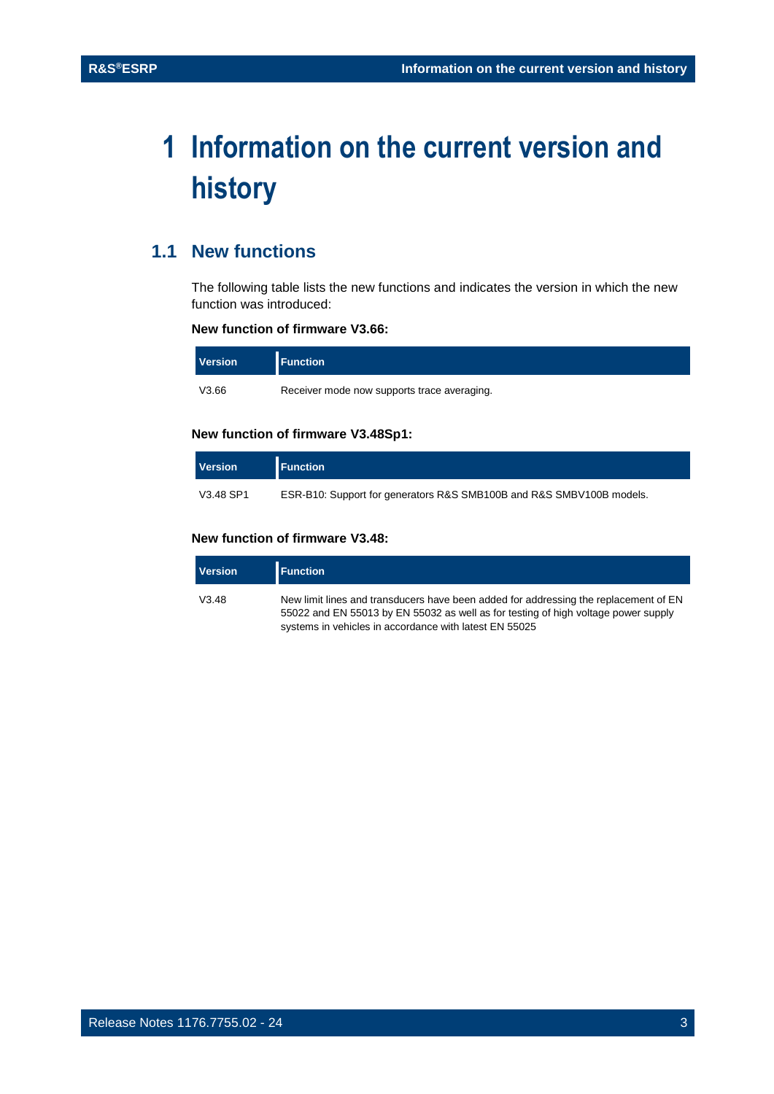## <span id="page-2-0"></span>**1 Information on the current version and history**

## <span id="page-2-1"></span>**1.1 New functions**

The following table lists the new functions and indicates the version in which the new function was introduced:

#### **New function of firmware V3.66:**

| <b>Version</b> | <b>Function</b>                             |
|----------------|---------------------------------------------|
| V3.66          | Receiver mode now supports trace averaging. |

#### **New function of firmware V3.48Sp1:**

| <b>Version</b> | <b>Function</b>                                                      |
|----------------|----------------------------------------------------------------------|
| V3.48 SP1      | ESR-B10: Support for generators R&S SMB100B and R&S SMBV100B models. |

#### **New function of firmware V3.48:**

| <b>Version</b> | <b>Function</b>                                                                                                                                                                                                                      |
|----------------|--------------------------------------------------------------------------------------------------------------------------------------------------------------------------------------------------------------------------------------|
| V3.48          | New limit lines and transducers have been added for addressing the replacement of EN<br>55022 and EN 55013 by EN 55032 as well as for testing of high voltage power supply<br>systems in vehicles in accordance with latest EN 55025 |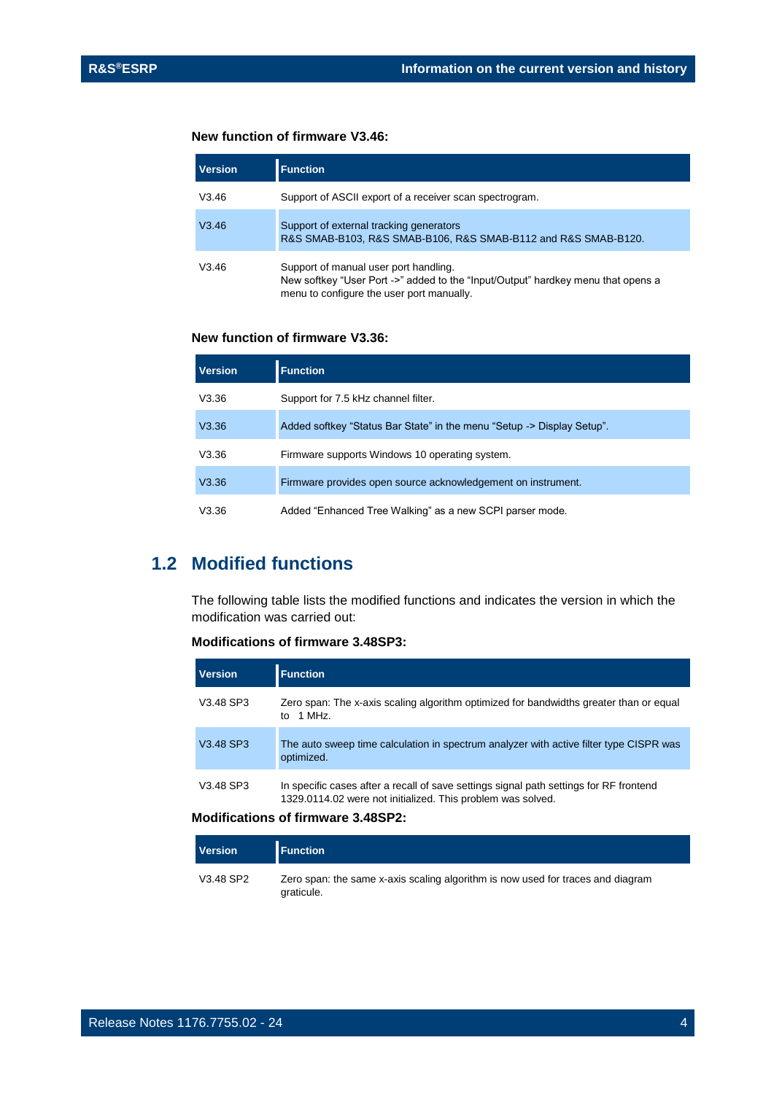#### **New function of firmware V3.46:**

| <b>Version</b> | <b>Function</b>                                                                                                                                                        |
|----------------|------------------------------------------------------------------------------------------------------------------------------------------------------------------------|
| V3.46          | Support of ASCII export of a receiver scan spectrogram.                                                                                                                |
| V3.46          | Support of external tracking generators<br>R&S SMAB-B103, R&S SMAB-B106, R&S SMAB-B112 and R&S SMAB-B120.                                                              |
| V3.46          | Support of manual user port handling.<br>New softkey "User Port ->" added to the "Input/Output" hardkey menu that opens a<br>menu to configure the user port manually. |

#### **New function of firmware V3.36:**

| <b>Version</b> | <b>Function</b>                                                        |
|----------------|------------------------------------------------------------------------|
| V3.36          | Support for 7.5 kHz channel filter.                                    |
| V3.36          | Added softkey "Status Bar State" in the menu "Setup -> Display Setup". |
| V3.36          | Firmware supports Windows 10 operating system.                         |
| V3.36          | Firmware provides open source acknowledgement on instrument.           |
| V3.36          | Added "Enhanced Tree Walking" as a new SCPI parser mode.               |

## <span id="page-3-0"></span>**1.2 Modified functions**

The following table lists the modified functions and indicates the version in which the modification was carried out:

#### **Modifications of firmware 3.48SP3:**

| <b>Version</b> | <b>Function</b>                                                                                                                                       |
|----------------|-------------------------------------------------------------------------------------------------------------------------------------------------------|
| V3.48 SP3      | Zero span: The x-axis scaling algorithm optimized for bandwidths greater than or equal<br>to 1 MHz.                                                   |
| V3.48 SP3      | The auto sweep time calculation in spectrum analyzer with active filter type CISPR was<br>optimized.                                                  |
| V3.48 SP3      | In specific cases after a recall of save settings signal path settings for RF frontend<br>1329.0114.02 were not initialized. This problem was solved. |

#### **Modifications of firmware 3.48SP2:**

| <b>Version</b> | <b>I</b> Function                                                                             |
|----------------|-----------------------------------------------------------------------------------------------|
| V3.48 SP2      | Zero span: the same x-axis scaling algorithm is now used for traces and diagram<br>graticule. |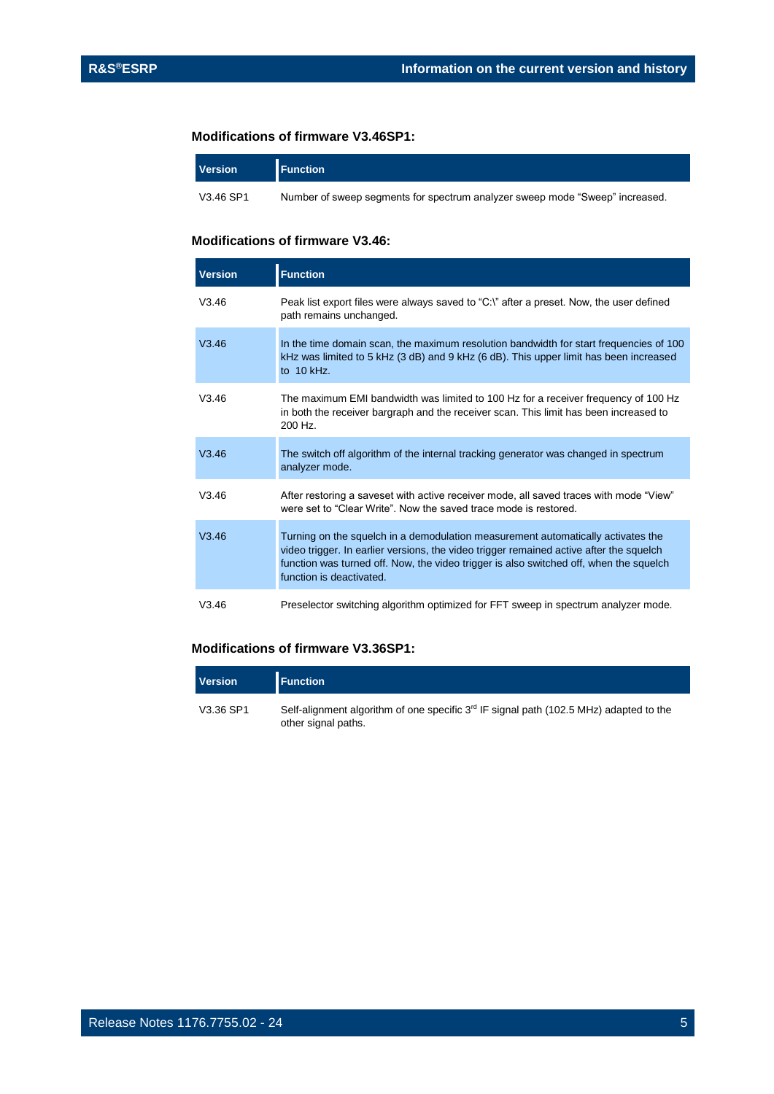#### **Modifications of firmware V3.46SP1:**

| <b>Version</b> | <b>Function</b>                                                              |
|----------------|------------------------------------------------------------------------------|
| V3.46 SP1      | Number of sweep seaments for spectrum analyzer sweep mode "Sweep" increased. |

#### **Modifications of firmware V3.46:**

| <b>Version</b> | <b>Function</b>                                                                                                                                                                                                                                                                                   |
|----------------|---------------------------------------------------------------------------------------------------------------------------------------------------------------------------------------------------------------------------------------------------------------------------------------------------|
| V3.46          | Peak list export files were always saved to "C:\" after a preset. Now, the user defined<br>path remains unchanged.                                                                                                                                                                                |
| V3.46          | In the time domain scan, the maximum resolution bandwidth for start frequencies of 100<br>kHz was limited to 5 kHz (3 dB) and 9 kHz (6 dB). This upper limit has been increased<br>to $10$ kHz.                                                                                                   |
| V3.46          | The maximum EMI bandwidth was limited to 100 Hz for a receiver frequency of 100 Hz<br>in both the receiver bargraph and the receiver scan. This limit has been increased to<br>200 Hz.                                                                                                            |
| V3.46          | The switch off algorithm of the internal tracking generator was changed in spectrum<br>analyzer mode.                                                                                                                                                                                             |
| V3.46          | After restoring a saveset with active receiver mode, all saved traces with mode "View"<br>were set to "Clear Write" Now the saved trace mode is restored                                                                                                                                          |
| V3.46          | Turning on the squelch in a demodulation measurement automatically activates the<br>video trigger. In earlier versions, the video trigger remained active after the squelch<br>function was turned off. Now, the video trigger is also switched off, when the squelch<br>function is deactivated. |
| V3.46          | Preselector switching algorithm optimized for FFT sweep in spectrum analyzer mode.                                                                                                                                                                                                                |

#### **Modifications of firmware V3.36SP1:**

| <b>Version</b> | <b>Function</b>                                                                                                           |
|----------------|---------------------------------------------------------------------------------------------------------------------------|
| V3.36 SP1      | Self-alignment algorithm of one specific 3 <sup>rd</sup> IF signal path (102.5 MHz) adapted to the<br>other signal paths. |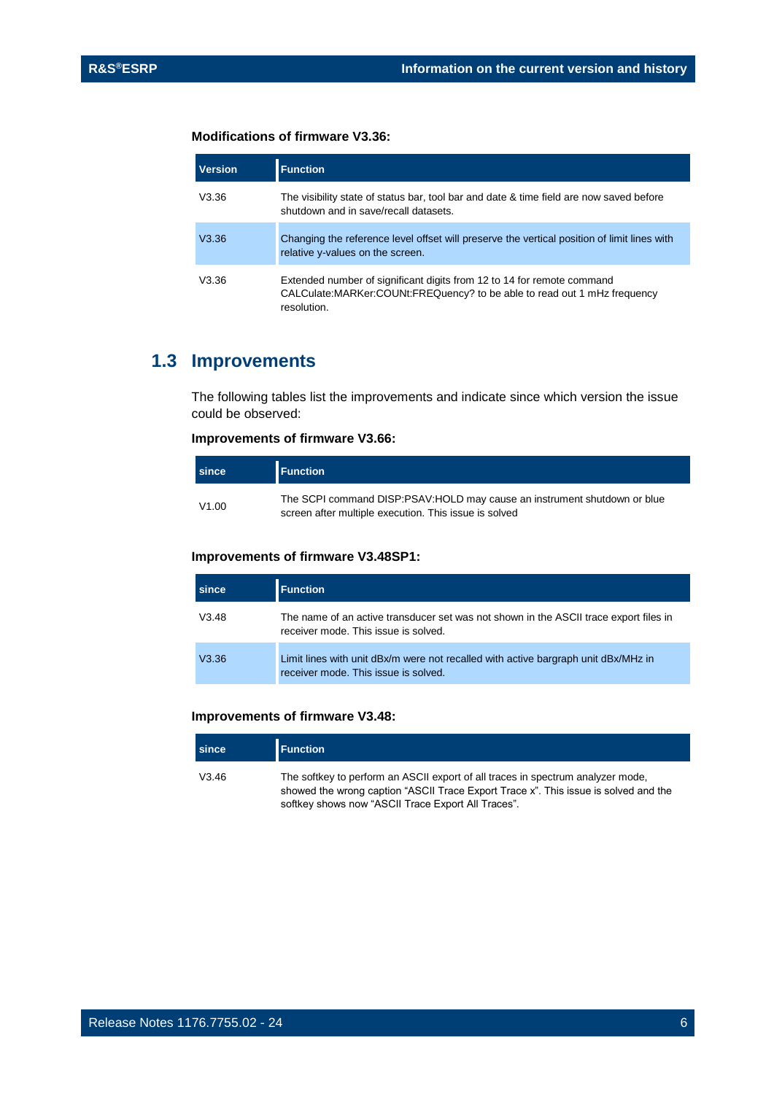#### **Modifications of firmware V3.36:**

| <b>Version</b> | <b>Function</b>                                                                                                                                                      |
|----------------|----------------------------------------------------------------------------------------------------------------------------------------------------------------------|
| V3.36          | The visibility state of status bar, tool bar and date & time field are now saved before<br>shutdown and in save/recall datasets.                                     |
| V3.36          | Changing the reference level offset will preserve the vertical position of limit lines with<br>relative y-values on the screen.                                      |
| V3.36          | Extended number of significant digits from 12 to 14 for remote command<br>CALCulate: MARKer: COUNt: FREQuency? to be able to read out 1 mHz frequency<br>resolution. |

### <span id="page-5-0"></span>**1.3 Improvements**

The following tables list the improvements and indicate since which version the issue could be observed:

#### **Improvements of firmware V3.66:**

| since | <b>Function</b>                                                                                                                   |
|-------|-----------------------------------------------------------------------------------------------------------------------------------|
| V1.00 | The SCPI command DISP:PSAV:HOLD may cause an instrument shutdown or blue<br>screen after multiple execution. This issue is solved |

#### **Improvements of firmware V3.48SP1:**

| since | <b>Function</b>                                                                                                               |
|-------|-------------------------------------------------------------------------------------------------------------------------------|
| V3.48 | The name of an active transducer set was not shown in the ASCII trace export files in<br>receiver mode. This issue is solved. |
| V3.36 | Limit lines with unit dBx/m were not recalled with active bargraph unit dBx/MHz in<br>receiver mode. This issue is solved.    |

#### **Improvements of firmware V3.48:**

| since | <b>Function</b>                                                                                                                                                                                                              |
|-------|------------------------------------------------------------------------------------------------------------------------------------------------------------------------------------------------------------------------------|
| V3.46 | The softkey to perform an ASCII export of all traces in spectrum analyzer mode,<br>showed the wrong caption "ASCII Trace Export Trace x". This issue is solved and the<br>softkey shows now "ASCII Trace Export All Traces". |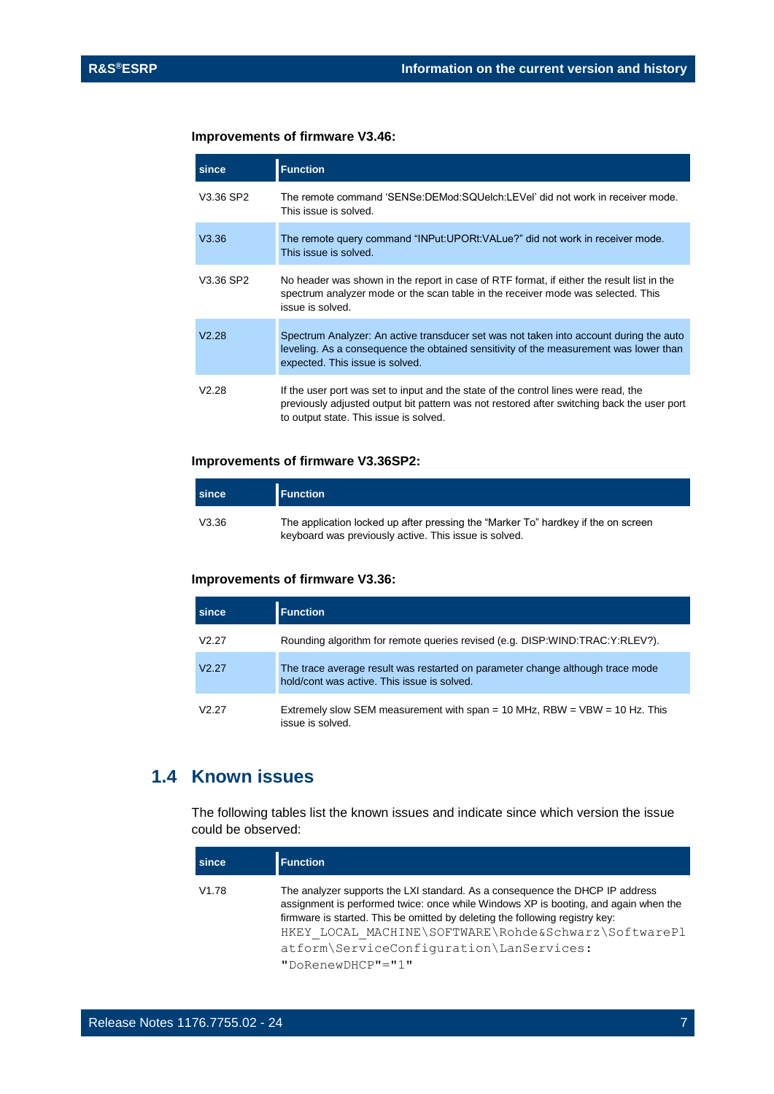#### **Improvements of firmware V3.46:**

| since     | <b>Function</b>                                                                                                                                                                                                             |  |
|-----------|-----------------------------------------------------------------------------------------------------------------------------------------------------------------------------------------------------------------------------|--|
| V3.36 SP2 | The remote command 'SENSe:DEMod:SQUelch:LEVel' did not work in receiver mode.<br>This issue is solved.                                                                                                                      |  |
| V3.36     | The remote query command "INPut:UPORt:VALue?" did not work in receiver mode.<br>This issue is solved.                                                                                                                       |  |
| V3.36 SP2 | No header was shown in the report in case of RTF format, if either the result list in the<br>spectrum analyzer mode or the scan table in the receiver mode was selected. This<br>issue is solved.                           |  |
| V2.28     | Spectrum Analyzer: An active transducer set was not taken into account during the auto<br>leveling. As a consequence the obtained sensitivity of the measurement was lower than<br>expected. This issue is solved.          |  |
| V2.28     | If the user port was set to input and the state of the control lines were read, the<br>previously adjusted output bit pattern was not restored after switching back the user port<br>to output state. This issue is solved. |  |

#### **Improvements of firmware V3.36SP2:**

| since | <b>Function</b>                                                                                                                            |
|-------|--------------------------------------------------------------------------------------------------------------------------------------------|
| V3.36 | The application locked up after pressing the "Marker To" hardkey if the on screen<br>keyboard was previously active. This issue is solved. |

#### **Improvements of firmware V3.36:**

| since             | <b>Function</b>                                                                                                               |
|-------------------|-------------------------------------------------------------------------------------------------------------------------------|
| V <sub>2.27</sub> | Rounding algorithm for remote queries revised (e.g. DISP:WIND:TRAC:Y:RLEV?).                                                  |
| V2.27             | The trace average result was restarted on parameter change although trace mode<br>hold/cont was active. This issue is solved. |
| V <sub>2.27</sub> | Extremely slow SEM measurement with span = 10 MHz, $RBW = VBW = 10 Hz$ . This<br>issue is solved.                             |

## <span id="page-6-0"></span>**1.4 Known issues**

The following tables list the known issues and indicate since which version the issue could be observed:

| since | <b>Function</b>                                                                                                                                                                                                                                                                                                                                                                  |
|-------|----------------------------------------------------------------------------------------------------------------------------------------------------------------------------------------------------------------------------------------------------------------------------------------------------------------------------------------------------------------------------------|
| V1.78 | The analyzer supports the LXI standard. As a consequence the DHCP IP address<br>assignment is performed twice: once while Windows XP is booting, and again when the<br>firmware is started. This be omitted by deleting the following registry key:<br>HKEY LOCAL MACHINE\SOFTWARE\Rohde&Schwarz\SoftwarePl<br>atform\ServiceConfiguration\LanServices:<br>$"DokenewDHCP" = "1"$ |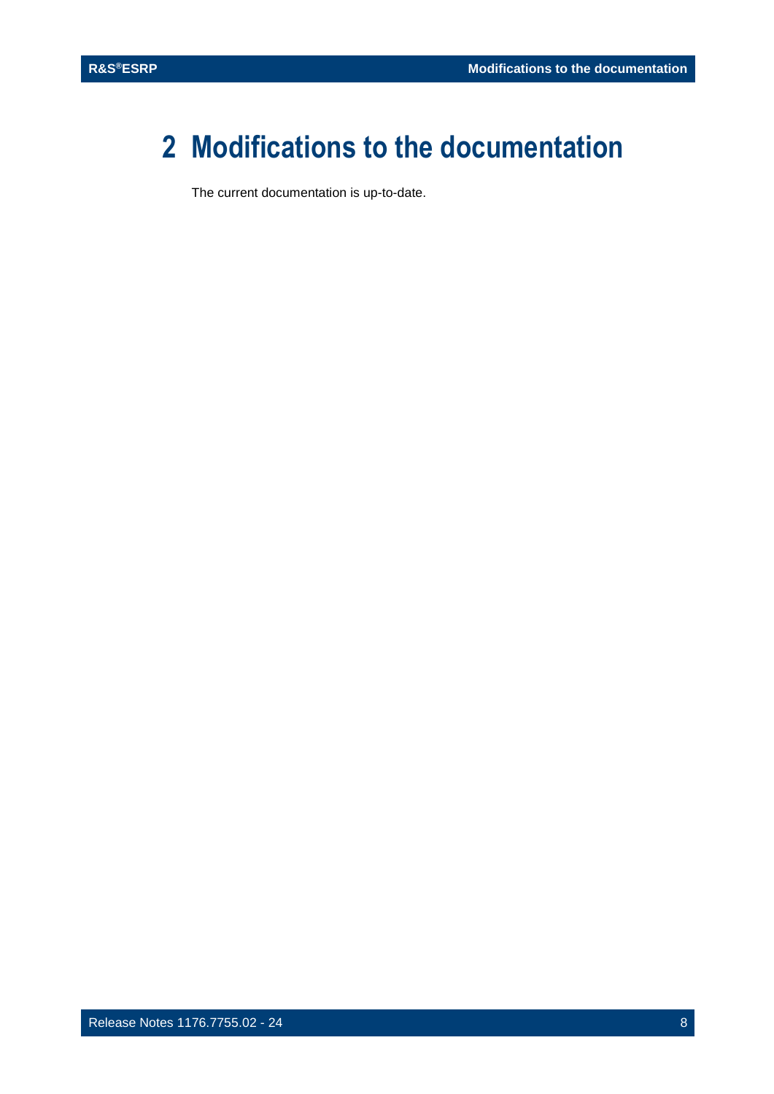## <span id="page-7-0"></span>**2 Modifications to the documentation**

The current documentation is up-to-date.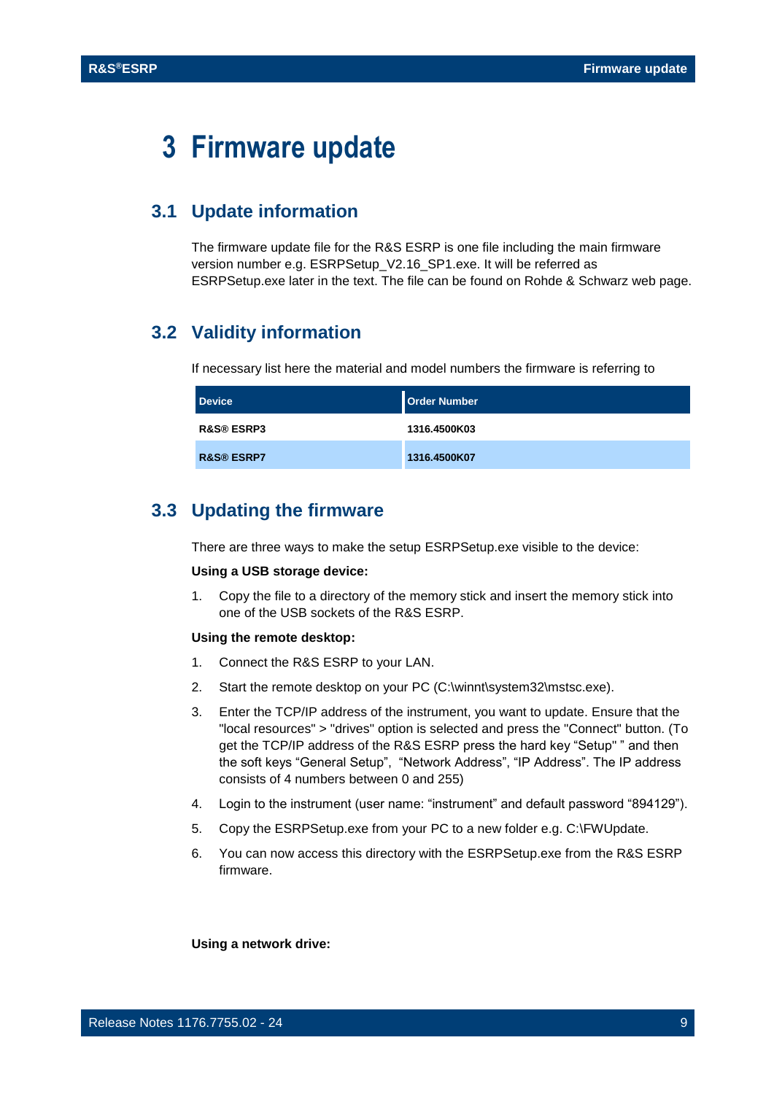## <span id="page-8-0"></span>**3 Firmware update**

## <span id="page-8-1"></span>**3.1 Update information**

The firmware update file for the R&S ESRP is one file including the main firmware version number e.g. ESRPSetup\_V2.16\_SP1.exe. It will be referred as ESRPSetup.exe later in the text. The file can be found on Rohde & Schwarz web page.

## <span id="page-8-2"></span>**3.2 Validity information**

If necessary list here the material and model numbers the firmware is referring to

| <b>Device</b>         | <b>Order Number</b> |
|-----------------------|---------------------|
| <b>R&amp;S® ESRP3</b> | 1316.4500K03        |
| <b>R&amp;S® ESRP7</b> | 1316.4500K07        |

## <span id="page-8-3"></span>**3.3 Updating the firmware**

There are three ways to make the setup ESRPSetup.exe visible to the device:

#### **Using a USB storage device:**

1. Copy the file to a directory of the memory stick and insert the memory stick into one of the USB sockets of the R&S ESRP.

#### **Using the remote desktop:**

- 1. Connect the R&S ESRP to your LAN.
- 2. Start the remote desktop on your PC (C:\winnt\system32\mstsc.exe).
- 3. Enter the TCP/IP address of the instrument, you want to update. Ensure that the "local resources" > "drives" option is selected and press the "Connect" button. (To get the TCP/IP address of the R&S ESRP press the hard key "Setup" " and then the soft keys "General Setup", "Network Address", "IP Address". The IP address consists of 4 numbers between 0 and 255)
- 4. Login to the instrument (user name: "instrument" and default password "894129").
- 5. Copy the ESRPSetup.exe from your PC to a new folder e.g. C:\FWUpdate.
- 6. You can now access this directory with the ESRPSetup.exe from the R&S ESRP firmware.

**Using a network drive:**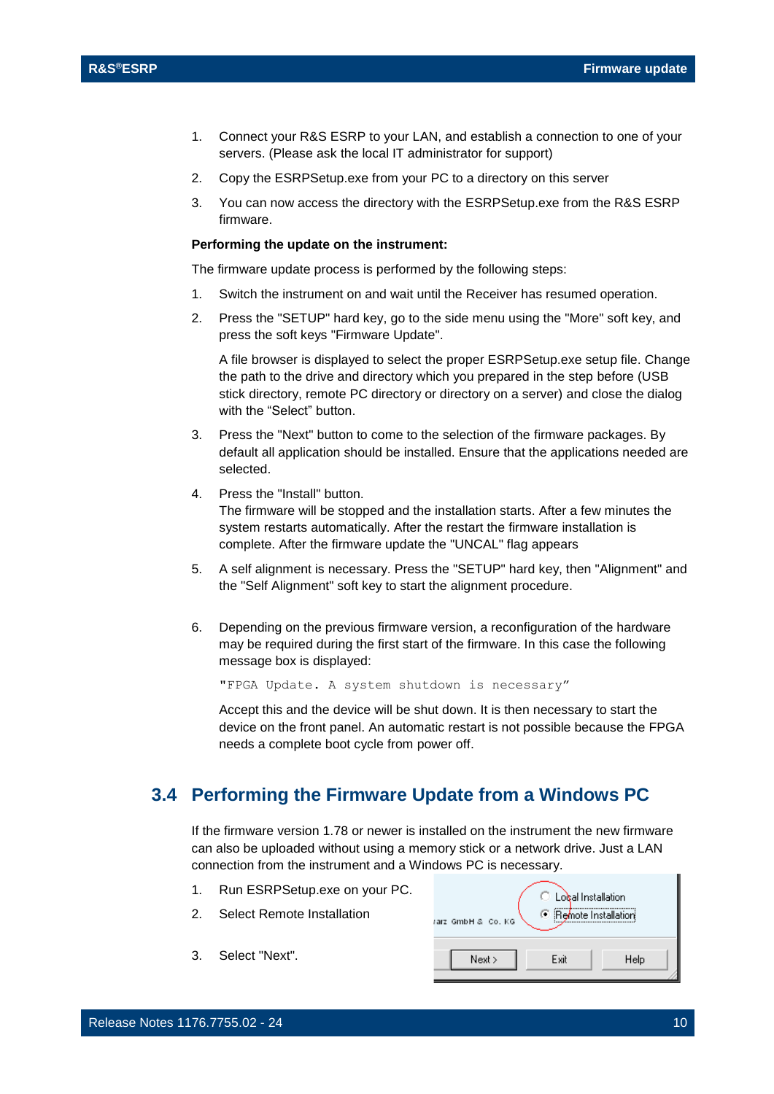- 1. Connect your R&S ESRP to your LAN, and establish a connection to one of your servers. (Please ask the local IT administrator for support)
- 2. Copy the ESRPSetup.exe from your PC to a directory on this server
- 3. You can now access the directory with the ESRPSetup.exe from the R&S ESRP firmware.

#### **Performing the update on the instrument:**

The firmware update process is performed by the following steps:

- 1. Switch the instrument on and wait until the Receiver has resumed operation.
- 2. Press the "SETUP" hard key, go to the side menu using the "More" soft key, and press the soft keys "Firmware Update".

A file browser is displayed to select the proper ESRPSetup.exe setup file. Change the path to the drive and directory which you prepared in the step before (USB stick directory, remote PC directory or directory on a server) and close the dialog with the "Select" button.

- 3. Press the "Next" button to come to the selection of the firmware packages. By default all application should be installed. Ensure that the applications needed are selected.
- 4. Press the "Install" button.

The firmware will be stopped and the installation starts. After a few minutes the system restarts automatically. After the restart the firmware installation is complete. After the firmware update the "UNCAL" flag appears

- 5. A self alignment is necessary. Press the "SETUP" hard key, then "Alignment" and the "Self Alignment" soft key to start the alignment procedure.
- 6. Depending on the previous firmware version, a reconfiguration of the hardware may be required during the first start of the firmware. In this case the following message box is displayed:

"FPGA Update. A system shutdown is necessary"

Accept this and the device will be shut down. It is then necessary to start the device on the front panel. An automatic restart is not possible because the FPGA needs a complete boot cycle from power off.

### <span id="page-9-0"></span>**3.4 Performing the Firmware Update from a Windows PC**

If the firmware version 1.78 or newer is installed on the instrument the new firmware can also be uploaded without using a memory stick or a network drive. Just a LAN connection from the instrument and a Windows PC is necessary. 'n,

|   | 1. Run ESRPSetup.exe on your PC. | Local Installation     |  |
|---|----------------------------------|------------------------|--|
| 2 | Select Remote Installation       | rarz GmbH & Co. KG     |  |
|   |                                  |                        |  |
|   | Select "Next".                   | Next ><br>Help<br>Exit |  |
|   |                                  |                        |  |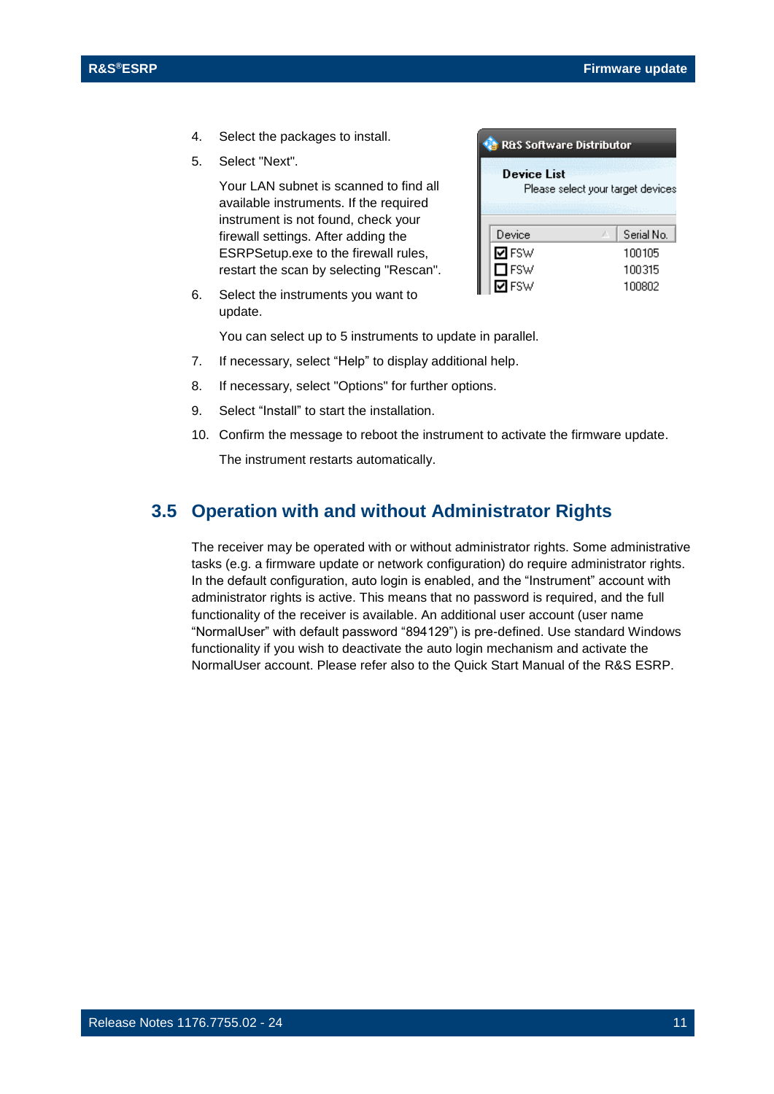- 4. Select the packages to install.
- 5. Select "Next".

Your LAN subnet is scanned to find all available instruments. If the required instrument is not found, check your firewall settings. After adding the ESRPSetup.exe to the firewall rules, restart the scan by selecting "Rescan".

6. Select the instruments you want to update.

You can select up to 5 instruments to update in parallel.

- 7. If necessary, select "Help" to display additional help.
- 8. If necessary, select "Options" for further options.
- 9. Select "Install" to start the installation.
- 10. Confirm the message to reboot the instrument to activate the firmware update.

<span id="page-10-0"></span>The instrument restarts automatically.

### **3.5 Operation with and without Administrator Rights**

The receiver may be operated with or without administrator rights. Some administrative tasks (e.g. a firmware update or network configuration) do require administrator rights. In the default configuration, auto login is enabled, and the "Instrument" account with administrator rights is active. This means that no password is required, and the full functionality of the receiver is available. An additional user account (user name "NormalUser" with default password "894129") is pre-defined. Use standard Windows functionality if you wish to deactivate the auto login mechanism and activate the NormalUser account. Please refer also to the Quick Start Manual of the R&S ESRP.

| Device List<br>Please select your target devices |               |  |            |
|--------------------------------------------------|---------------|--|------------|
|                                                  | Device        |  | Serial No. |
|                                                  | <b>ØFSW</b>   |  | 100105     |
|                                                  | $\square$ FSW |  | 100315     |
|                                                  | FSW           |  | 100802     |

R&S Software Distributor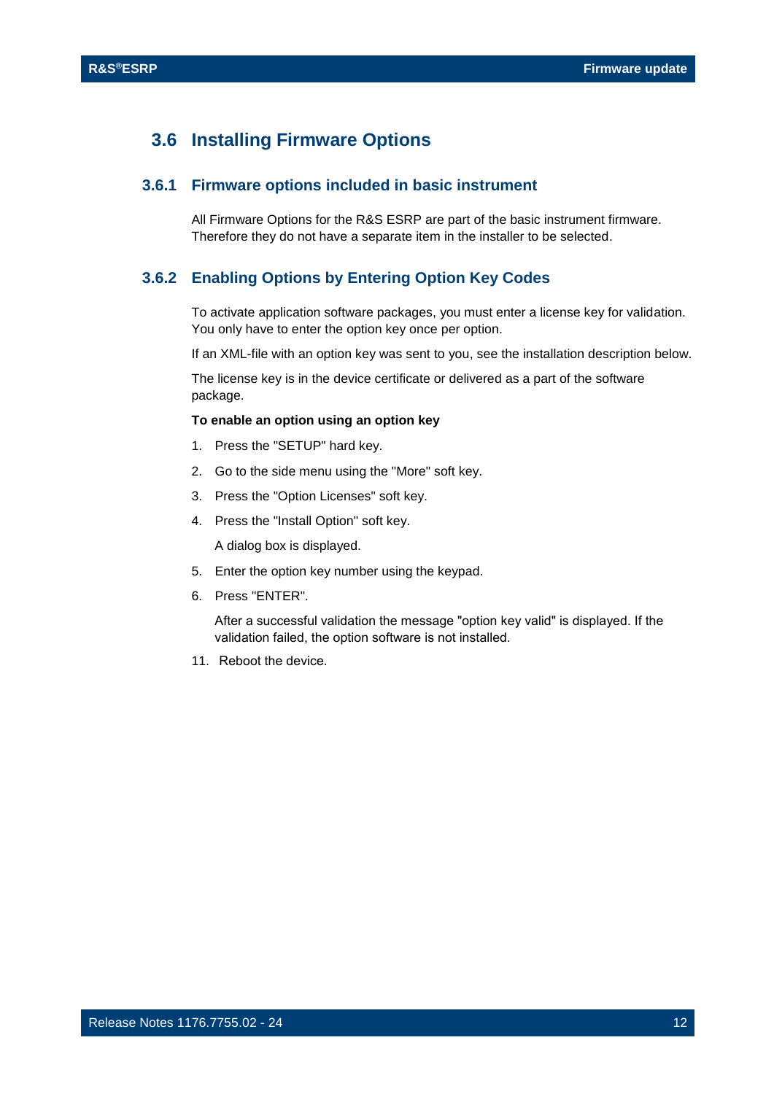### <span id="page-11-0"></span>**3.6 Installing Firmware Options**

#### **3.6.1 Firmware options included in basic instrument**

<span id="page-11-2"></span><span id="page-11-1"></span>All Firmware Options for the R&S ESRP are part of the basic instrument firmware. Therefore they do not have a separate item in the installer to be selected.

#### **3.6.2 Enabling Options by Entering Option Key Codes**

To activate application software packages, you must enter a license key for validation. You only have to enter the option key once per option.

If an XML-file with an option key was sent to you, see the installation description below.

The license key is in the device certificate or delivered as a part of the software package.

#### **To enable an option using an option key**

- 1. Press the "SETUP" hard key.
- 2. Go to the side menu using the "More" soft key.
- 3. Press the "Option Licenses" soft key.
- 4. Press the "Install Option" soft key.

A dialog box is displayed.

- 5. Enter the option key number using the keypad.
- 6. Press "ENTER".

After a successful validation the message "option key valid" is displayed. If the validation failed, the option software is not installed.

11. Reboot the device.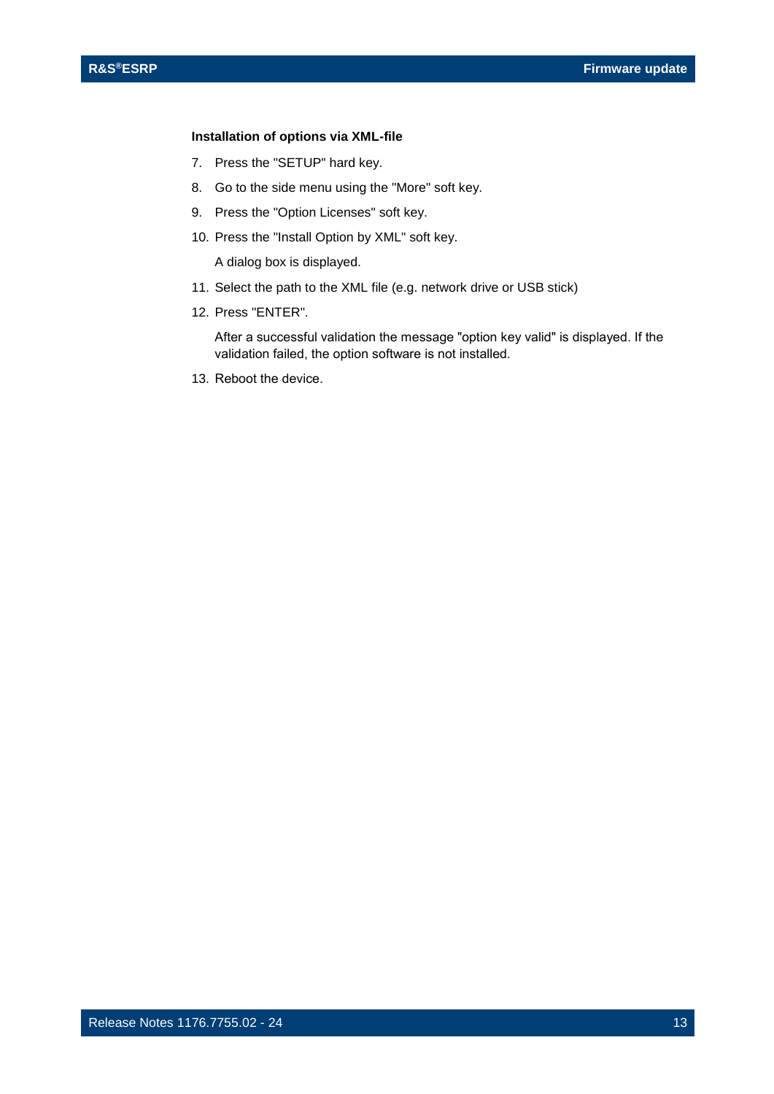#### **Installation of options via XML-file**

- 7. Press the "SETUP" hard key.
- 8. Go to the side menu using the "More" soft key.
- 9. Press the "Option Licenses" soft key.
- 10. Press the "Install Option by XML" soft key.

A dialog box is displayed.

- 11. Select the path to the XML file (e.g. network drive or USB stick)
- 12. Press "ENTER".

After a successful validation the message "option key valid" is displayed. If the validation failed, the option software is not installed.

13. Reboot the device.